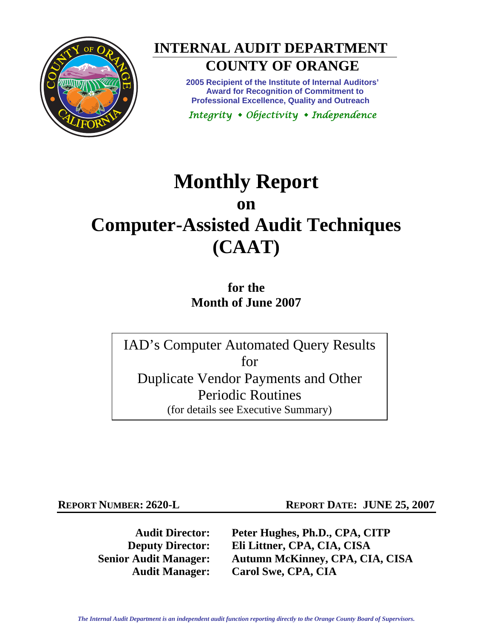

# **INTERNAL AUDIT DEPARTMENT**

## **COUNTY OF ORANGE**

**2005 Recipient of the Institute of Internal Auditors' Award for Recognition of Commitment to Professional Excellence, Quality and Outreach** 

*Integrity Objectivity Independence* 

## **Monthly Report on Computer-Assisted Audit Techniques (CAAT)**

**for the Month of June 2007** 

IAD's Computer Automated Query Results for Duplicate Vendor Payments and Other Periodic Routines (for details see Executive Summary)

**REPORT NUMBER: 2620-L REPORT DATE: JUNE 25, 2007** 

**Audit Director: Peter Hughes, Ph.D., CPA, CITP Deputy Director: Eli Littner, CPA, CIA, CISA Senior Audit Manager: Autumn McKinney, CPA, CIA, CISA Audit Manager: Carol Swe, CPA, CIA**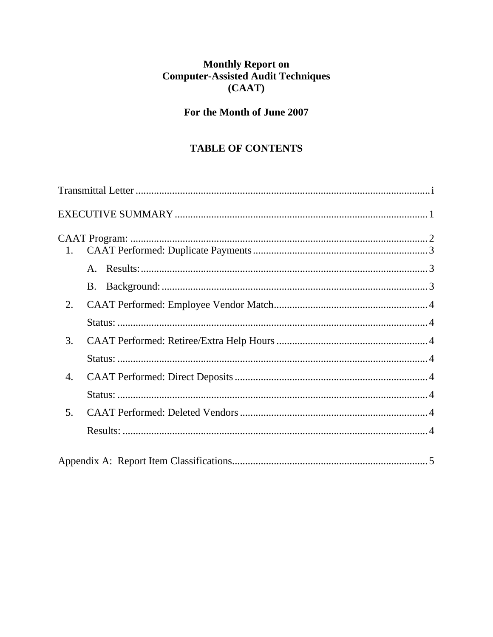## Monthly Report on<br>Computer-Assisted Audit Techniques  $(CAAT)$

### For the Month of June 2007

### TABLE OF CONTENTS

| 1. |  |
|----|--|
|    |  |
|    |  |
| 2. |  |
|    |  |
| 3. |  |
|    |  |
| 4. |  |
|    |  |
| 5. |  |
|    |  |
|    |  |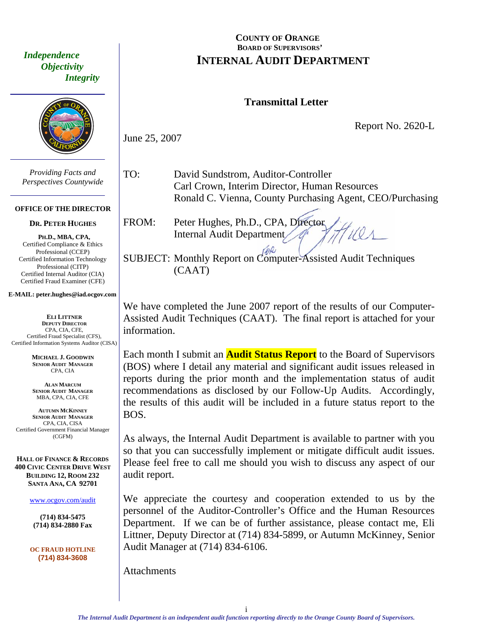<span id="page-2-0"></span> *Independence Objectivity Integrity* 



*Providing Facts and Perspectives Countywide* 

#### **OFFICE OF THE DIRECTOR**

#### **DR. PETER HUGHES**

**PH.D., MBA, CPA,**  Certified Compliance & Ethics Professional (CCEP) Certified Information Technology Professional (CITP) Certified Internal Auditor (CIA) Certified Fraud Examiner (CFE)

#### **E-MAIL: peter.hughes@iad.ocgov.com**

**ELI LITTNER DEPUTY DIRECTOR** CPA, CIA, CFE, Certified Fraud Specialist (CFS), Certified Information Systems Auditor (CISA)

> **MICHAEL J. GOODWIN SENIOR AUDIT MANAGER** CPA, CIA

**ALAN MARCUM SENIOR AUDIT MANAGER** MBA, CPA, CIA, CFE

**AUTUMN MCKINNEY SENIOR AUDIT MANAGER** CPA, CIA, CISA Certified Government Financial Manager (CGFM)

**HALL OF FINANCE & RECORDS 400 CIVIC CENTER DRIVE WEST BUILDING 12, ROOM 232 SANTA ANA, CA 92701** 

www.ocgov.com/audit

**(714) 834-5475 (714) 834-2880 Fax** 

**OC FRAUD HOTLINE (714) 834-3608** 

#### **COUNTY OF ORANGE** BOARD OF SUPERVISORS' **INTERNAL AUDIT DEPARTMENT**

#### **Transmittal Letter**

Report No. 2620-L

June 25, 2007

TO: David Sundstrom, Auditor-Controller Carl Crown, Interim Director, Human Resources Ronald C. Vienna, County Purchasing Agent, CEO/Purchasing

FROM: Peter Hughes, Ph.D., CPA, Director Internal Audit Department

SUBJECT: Monthly Report on Computer-Assisted Audit Techniques (CAAT)

We have completed the June 2007 report of the results of our Computer-Assisted Audit Techniques (CAAT). The final report is attached for your information.

Each month I submit an **Audit Status Report** to the Board of Supervisors (BOS) where I detail any material and significant audit issues released in reports during the prior month and the implementation status of audit recommendations as disclosed by our Follow-Up Audits. Accordingly, the results of this audit will be included in a future status report to the BOS.

As always, the Internal Audit Department is available to partner with you so that you can successfully implement or mitigate difficult audit issues. Please feel free to call me should you wish to discuss any aspect of our audit report.

We appreciate the courtesy and cooperation extended to us by the personnel of the Auditor-Controller's Office and the Human Resources Department. If we can be of further assistance, please contact me, Eli Littner, Deputy Director at (714) 834-5899, or Autumn McKinney, Senior Audit Manager at (714) 834-6106.

Attachments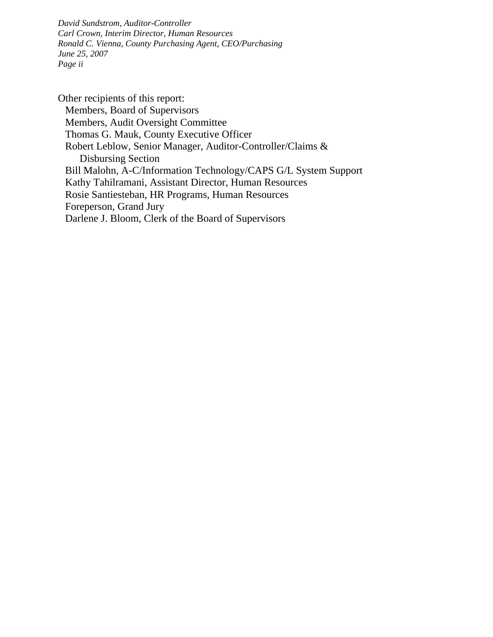*David Sundstrom, Auditor-Controller Carl Crown, Interim Director, Human Resources Ronald C. Vienna, County Purchasing Agent, CEO/Purchasing June 25, 2007 Page ii* 

Other recipients of this report: Members, Board of Supervisors Members, Audit Oversight Committee Thomas G. Mauk, County Executive Officer Robert Leblow, Senior Manager, Auditor-Controller/Claims & Disbursing Section Bill Malohn, A-C/Information Technology/CAPS G/L System Support Kathy Tahilramani, Assistant Director, Human Resources Rosie Santiesteban, HR Programs, Human Resources Foreperson, Grand Jury Darlene J. Bloom, Clerk of the Board of Supervisors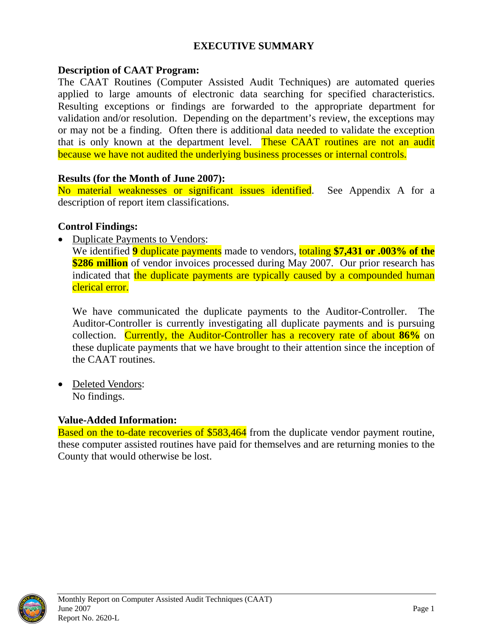#### **EXECUTIVE SUMMARY**

#### <span id="page-4-0"></span>**Description of CAAT Program:**

The CAAT Routines (Computer Assisted Audit Techniques) are automated queries applied to large amounts of electronic data searching for specified characteristics. Resulting exceptions or findings are forwarded to the appropriate department for validation and/or resolution. Depending on the department's review, the exceptions may or may not be a finding. Often there is additional data needed to validate the exception that is only known at the department level. These CAAT routines are not an audit because we have not audited the underlying business processes or internal controls.

#### **Results (for the Month of June 2007):**

No material weaknesses or significant issues identified. See Appendix A for a description of report item classifications.

#### **Control Findings:**

• Duplicate Payments to Vendors:

We identified **9** duplicate payments made to vendors, totaling **\$7,431 or .003% of the \$286 million** of vendor invoices processed during May 2007. Our prior research has indicated that the duplicate payments are typically caused by a compounded human clerical error.

We have communicated the duplicate payments to the Auditor-Controller. The Auditor-Controller is currently investigating all duplicate payments and is pursuing collection. Currently, the Auditor-Controller has a recovery rate of about **86%** on these duplicate payments that we have brought to their attention since the inception of the CAAT routines.

• Deleted Vendors: No findings.

#### **Value-Added Information:**

Based on the to-date recoveries of \$583,464 from the duplicate vendor payment routine, these computer assisted routines have paid for themselves and are returning monies to the County that would otherwise be lost.

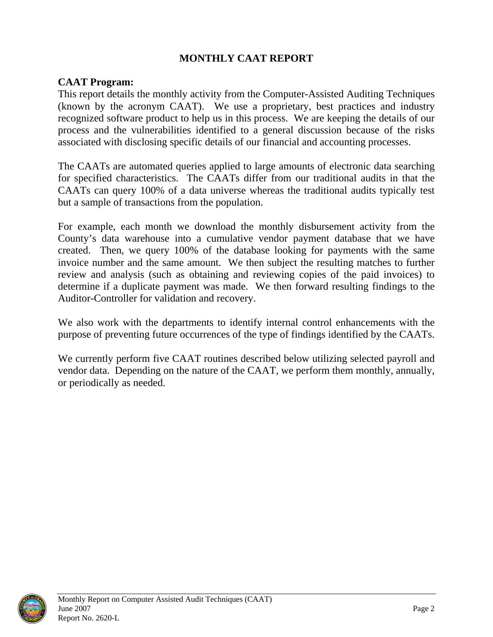#### **MONTHLY CAAT REPORT**

#### <span id="page-5-0"></span>**CAAT Program:**

This report details the monthly activity from the Computer-Assisted Auditing Techniques (known by the acronym CAAT). We use a proprietary, best practices and industry recognized software product to help us in this process. We are keeping the details of our process and the vulnerabilities identified to a general discussion because of the risks associated with disclosing specific details of our financial and accounting processes.

The CAATs are automated queries applied to large amounts of electronic data searching for specified characteristics. The CAATs differ from our traditional audits in that the CAATs can query 100% of a data universe whereas the traditional audits typically test but a sample of transactions from the population.

For example, each month we download the monthly disbursement activity from the County's data warehouse into a cumulative vendor payment database that we have created. Then, we query 100% of the database looking for payments with the same invoice number and the same amount. We then subject the resulting matches to further review and analysis (such as obtaining and reviewing copies of the paid invoices) to determine if a duplicate payment was made. We then forward resulting findings to the Auditor-Controller for validation and recovery.

We also work with the departments to identify internal control enhancements with the purpose of preventing future occurrences of the type of findings identified by the CAATs.

We currently perform five CAAT routines described below utilizing selected payroll and vendor data. Depending on the nature of the CAAT, we perform them monthly, annually, or periodically as needed.

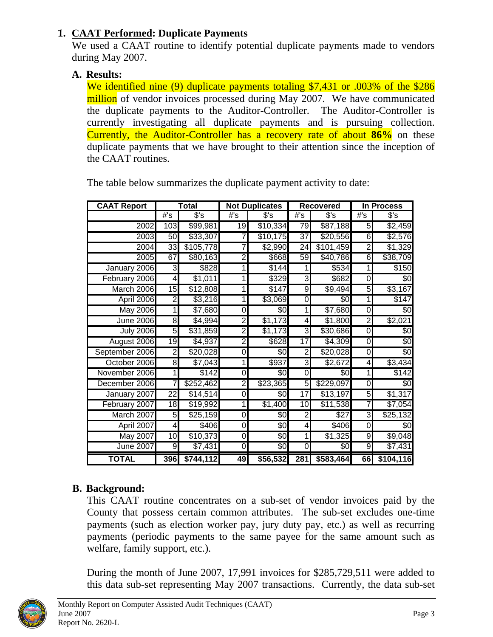#### <span id="page-6-0"></span>**1. CAAT Performed: Duplicate Payments**

We used a CAAT routine to identify potential duplicate payments made to vendors during May 2007.

#### **A. Results:**

We identified nine (9) duplicate payments totaling \$7,431 or .003% of the \$286 million of vendor invoices processed during May 2007. We have communicated the duplicate payments to the Auditor-Controller. The Auditor-Controller is currently investigating all duplicate payments and is pursuing collection. Currently, the Auditor-Controller has a recovery rate of about **86%** on these duplicate payments that we have brought to their attention since the inception of the CAAT routines.

| <b>CAAT Report</b> | Total           |           | <b>Not Duplicates</b> |               | <b>Recovered</b> |           | <b>In Process</b>       |           |
|--------------------|-----------------|-----------|-----------------------|---------------|------------------|-----------|-------------------------|-----------|
|                    | #s              | $s$ 's    | #s                    | $s$ 's        | #S               | s's       | #s                      | $s$ 's    |
| 2002               | 103             | \$99,981  | $\overline{19}$       | \$10,334      | 79               | \$87,188  | 5                       | \$2,459   |
| 2003               | 50              | \$33,307  |                       | \$10,175      | $\overline{37}$  | \$20,556  | 6                       | \$2,576   |
| 2004               | 33              | \$105,778 |                       | \$2,990       | $\overline{24}$  | \$101,459 | $\overline{2}$          | \$1,329   |
| 2005               | 67              | \$80,163  | $\overline{2}$        | \$668         | 59               | \$40,786  | 6                       | \$38,709  |
| January 2006       | ω               | \$828     |                       | \$144         |                  | \$534     | 1                       | \$150     |
| February 2006      | 4               | \$1,011   |                       | $\sqrt{3}329$ | ω                | \$682     | $\boldsymbol{0}$        | \$0       |
| March 2006         | 15              | \$12,808  |                       | \$147         | 9                | \$9,494   | 5                       | \$3,167   |
| April 2006         | 2               | \$3,216   | 1                     | \$3,069       | 0                | \$0       | 1                       | \$147     |
| <b>May 2006</b>    | $\overline{1}$  | \$7,680   | 0                     | \$0           | 1                | \$7,680   | $\boldsymbol{0}$        | \$0       |
| <b>June 2006</b>   | 8               | \$4,994   | <sub>2</sub>          | \$1,173       | 4                | \$1,800   | $\overline{2}$          | \$2,021   |
| <b>July 2006</b>   | 5               | \$31,859  | 2                     | \$1,173       | ω                | \$30,686  | $\overline{0}$          | \$0       |
| August 2006        | $\overline{19}$ | \$4,937   | 2                     | \$628         | $\overline{17}$  | \$4,309   | 0                       | \$0       |
| September 2006     | 2               | \$20,028  | 0                     | \$0           | $\overline{2}$   | \$20,028  | $\pmb{0}$               | \$0       |
| October 2006       | 8               | \$7,043   |                       | \$937         | 3                | \$2,672   | $\overline{\mathbf{4}}$ | \$3,434   |
| November 2006      | $\mathbf{1}$    | \$142     | $\overline{O}$        | \$0           | 0                | \$0       | 1                       | \$142     |
| December 2006      | 7               | \$252,462 | 2                     | \$23,365      | 5                | \$229,097 | $\mathbf 0$             | \$0       |
| January 2007       | 22              | \$14,514  | 0                     | \$0           | 17               | \$13,197  | 5                       | \$1,317   |
| February 2007      | 18              | \$19,992  | 1                     | \$1,400       | 10               | \$11,538  | 7                       | \$7,054   |
| March 2007         | 5               | \$25,159  | 0                     | \$0           | 2                | \$27      | دى                      | \$25,132  |
| April 2007         | 4               | \$406     | 0                     | \$0           | 4                | \$406     | $\mathbf 0$             | \$0       |
| <b>May 2007</b>    | $\overline{10}$ | \$10,373  | 0                     | \$0           | 1                | \$1,325   | 9                       | \$9,048   |
| <b>June 2007</b>   | 9               | \$7,431   | $\overline{O}$        | \$0           | 0                | \$0       | 9                       | \$7,431   |
| <b>TOTAL</b>       | 396             | \$744,112 | 49                    | \$56,532      | 281              | \$583,464 | 66                      | \$104,116 |

The table below summarizes the duplicate payment activity to date:

### **B. Background:**

This CAAT routine concentrates on a sub-set of vendor invoices paid by the County that possess certain common attributes. The sub-set excludes one-time payments (such as election worker pay, jury duty pay, etc.) as well as recurring payments (periodic payments to the same payee for the same amount such as welfare, family support, etc.).

During the month of June 2007, 17,991 invoices for \$285,729,511 were added to this data sub-set representing May 2007 transactions. Currently, the data sub-set

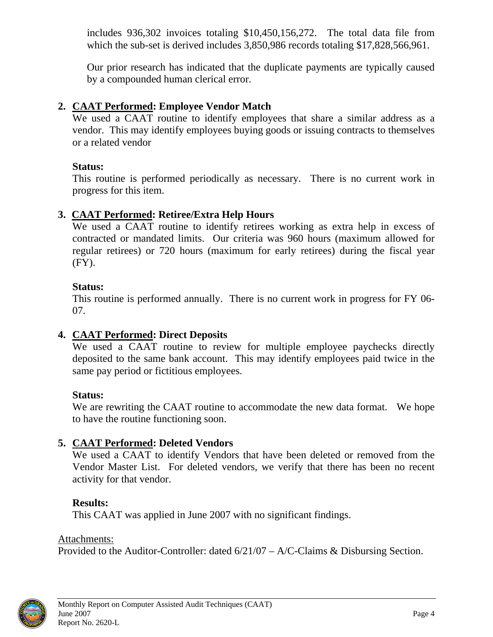<span id="page-7-0"></span>includes 936,302 invoices totaling \$10,450,156,272. The total data file from which the sub-set is derived includes 3,850,986 records totaling \$17,828,566,961.

Our prior research has indicated that the duplicate payments are typically caused by a compounded human clerical error.

#### **2. CAAT Performed: Employee Vendor Match**

We used a CAAT routine to identify employees that share a similar address as a vendor. This may identify employees buying goods or issuing contracts to themselves or a related vendor

#### **Status:**

This routine is performed periodically as necessary. There is no current work in progress for this item.

#### **3. CAAT Performed: Retiree/Extra Help Hours**

We used a CAAT routine to identify retirees working as extra help in excess of contracted or mandated limits. Our criteria was 960 hours (maximum allowed for regular retirees) or 720 hours (maximum for early retirees) during the fiscal year (FY).

#### **Status:**

This routine is performed annually. There is no current work in progress for FY 06- 07.

#### **4. CAAT Performed: Direct Deposits**

We used a CAAT routine to review for multiple employee paychecks directly deposited to the same bank account. This may identify employees paid twice in the same pay period or fictitious employees.

#### **Status:**

We are rewriting the CAAT routine to accommodate the new data format. We hope to have the routine functioning soon.

#### **5. CAAT Performed: Deleted Vendors**

We used a CAAT to identify Vendors that have been deleted or removed from the Vendor Master List. For deleted vendors, we verify that there has been no recent activity for that vendor.

#### **Results:**

This CAAT was applied in June 2007 with no significant findings.

#### Attachments:

Provided to the Auditor-Controller: dated 6/21/07 – A/C-Claims & Disbursing Section.